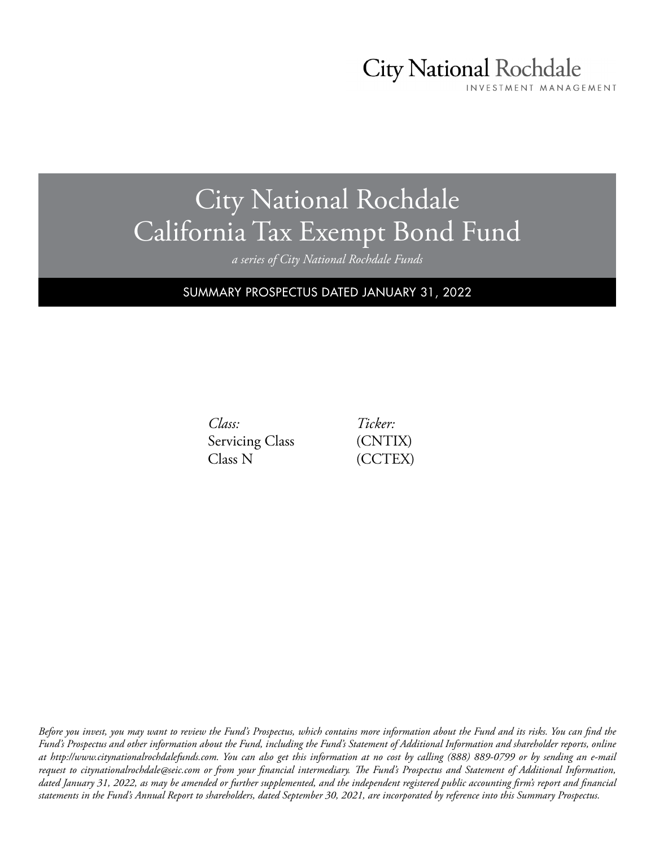# **City National Rochdale**

INVESTMENT MANAGEMENT

# City National Rochdale California Tax Exempt Bond Fund

*a series of City National Rochdale Funds*

SUMMARY PROSPECTUS DATED JANUARY 31, 2022

*Class:* Servicing Class Class N

*Ticker:* (CNTIX) (CCTEX)

*Before you invest, you may want to review the Fund's Prospectus, which contains more information about the Fund and its risks. You can find the Fund's Prospectus and other information about the Fund, including the Fund's Statement of Additional Information and shareholder reports, online at http://www.citynationalrochdalefunds.com. You can also get this information at no cost by calling (888) 889-0799 or by sending an e-mail request to citynationalrochdale@seic.com or from your financial intermediary. The Fund's Prospectus and Statement of Additional Information, dated January 31, 2022, as may be amended or further supplemented, and the independent registered public accounting firm's report and financial statements in the Fund's Annual Report to shareholders, dated September 30, 2021, are incorporated by reference into this Summary Prospectus.*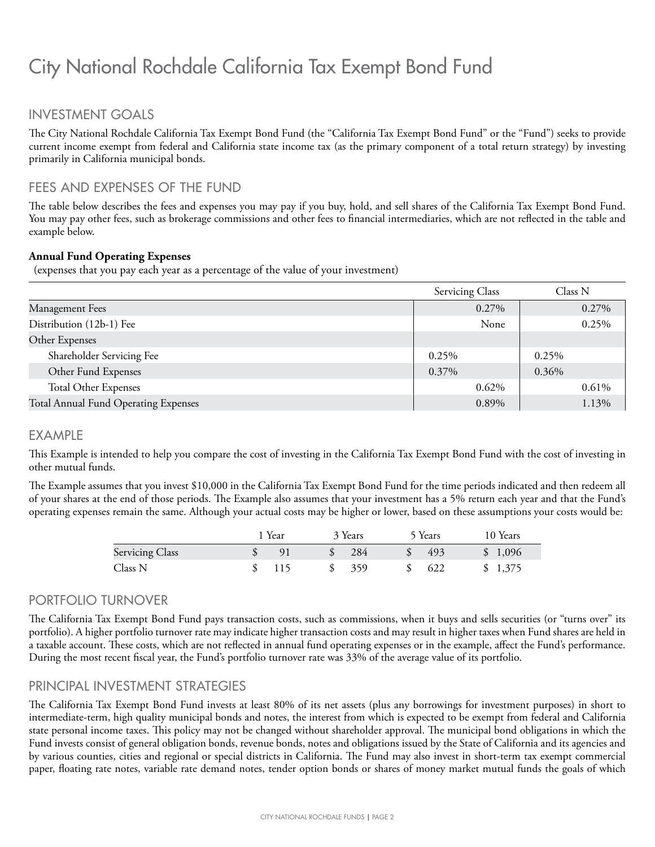## INVESTMENT GOALS

The City National Rochdale California Tax Exempt Bond Fund (the "California Tax Exempt Bond Fund" or the "Fund") seeks to provide current income exempt from federal and California state income tax (as the primary component of a total return strategy) by investing primarily in California municipal bonds.

#### FEES AND EXPENSES OF THE FUND

The table below describes the fees and expenses you may pay if you buy, hold, and sell shares of the California Tax Exempt Bond Fund. You may pay other fees, such as brokerage commissions and other fees to financial intermediaries, which are not reflected in the table and example below.

#### **Annual Fund Operating Expenses**

(expenses that you pay each year as a percentage of the value of your investment)

|                                      | Servicing Class | Class N |
|--------------------------------------|-----------------|---------|
| Management Fees                      | $0.27\%$        | 0.27%   |
| Distribution (12b-1) Fee             | None            | 0.25%   |
| Other Expenses                       |                 |         |
| Shareholder Servicing Fee            | 0.25%           | 0.25%   |
| Other Fund Expenses                  | 0.37%           | 0.36%   |
| <b>Total Other Expenses</b>          | 0.62%           | 0.61%   |
| Total Annual Fund Operating Expenses | 0.89%           | 1.13%   |

#### EXAMPLE

This Example is intended to help you compare the cost of investing in the California Tax Exempt Bond Fund with the cost of investing in other mutual funds.

The Example assumes that you invest \$10,000 in the California Tax Exempt Bond Fund for the time periods indicated and then redeem all of your shares at the end of those periods. The Example also assumes that your investment has a 5% return each year and that the Fund's operating expenses remain the same. Although your actual costs may be higher or lower, based on these assumptions your costs would be:

|                        | 1 Year         | 3 Years | 5 Years | 10 Years |
|------------------------|----------------|---------|---------|----------|
| <b>Servicing Class</b> | Q <sub>1</sub> | 284     | 493     | \$1,096  |
| Class N                | 115            | 359     | 622     | \$1,375  |

#### PORTFOLIO TURNOVER

The California Tax Exempt Bond Fund pays transaction costs, such as commissions, when it buys and sells securities (or "turns over" its portfolio). A higher portfolio turnover rate may indicate higher transaction costs and may result in higher taxes when Fund shares are held in a taxable account. These costs, which are not reflected in annual fund operating expenses or in the example, affect the Fund's performance. During the most recent fiscal year, the Fund's portfolio turnover rate was 33% of the average value of its portfolio.

#### PRINCIPAL INVESTMENT STRATEGIES

The California Tax Exempt Bond Fund invests at least 80% of its net assets (plus any borrowings for investment purposes) in short to intermediate-term, high quality municipal bonds and notes, the interest from which is expected to be exempt from federal and California state personal income taxes. This policy may not be changed without shareholder approval. The municipal bond obligations in which the Fund invests consist of general obligation bonds, revenue bonds, notes and obligations issued by the State of California and its agencies and by various counties, cities and regional or special districts in California. The Fund may also invest in short-term tax exempt commercial paper, floating rate notes, variable rate demand notes, tender option bonds or shares of money market mutual funds the goals of which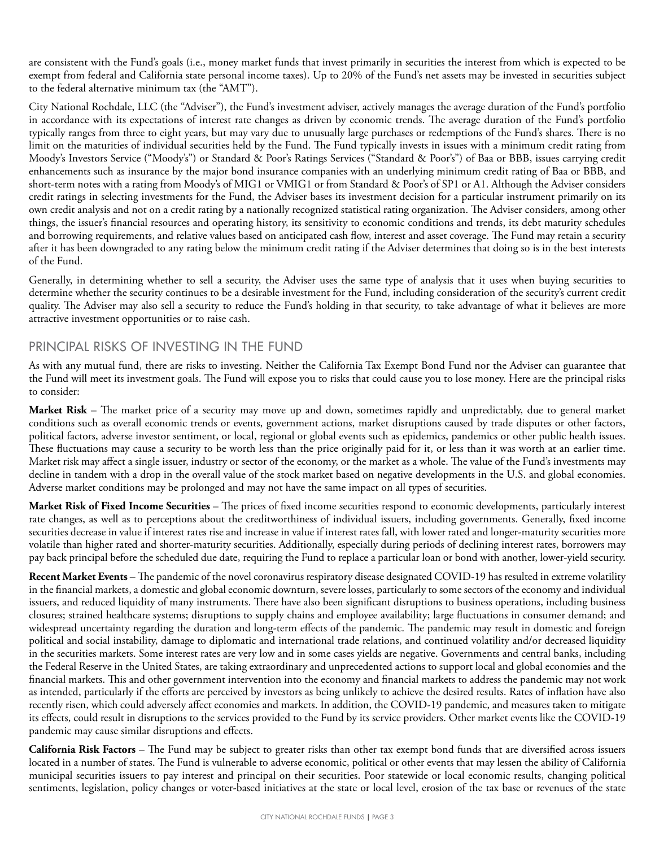are consistent with the Fund's goals (i.e., money market funds that invest primarily in securities the interest from which is expected to be exempt from federal and California state personal income taxes). Up to 20% of the Fund's net assets may be invested in securities subject to the federal alternative minimum tax (the "AMT").

City National Rochdale, LLC (the "Adviser"), the Fund's investment adviser, actively manages the average duration of the Fund's portfolio in accordance with its expectations of interest rate changes as driven by economic trends. The average duration of the Fund's portfolio typically ranges from three to eight years, but may vary due to unusually large purchases or redemptions of the Fund's shares. There is no limit on the maturities of individual securities held by the Fund. The Fund typically invests in issues with a minimum credit rating from Moody's Investors Service ("Moody's") or Standard & Poor's Ratings Services ("Standard & Poor's") of Baa or BBB, issues carrying credit enhancements such as insurance by the major bond insurance companies with an underlying minimum credit rating of Baa or BBB, and short-term notes with a rating from Moody's of MIG1 or VMIG1 or from Standard & Poor's of SP1 or A1. Although the Adviser considers credit ratings in selecting investments for the Fund, the Adviser bases its investment decision for a particular instrument primarily on its own credit analysis and not on a credit rating by a nationally recognized statistical rating organization. The Adviser considers, among other things, the issuer's financial resources and operating history, its sensitivity to economic conditions and trends, its debt maturity schedules and borrowing requirements, and relative values based on anticipated cash flow, interest and asset coverage. The Fund may retain a security after it has been downgraded to any rating below the minimum credit rating if the Adviser determines that doing so is in the best interests of the Fund.

Generally, in determining whether to sell a security, the Adviser uses the same type of analysis that it uses when buying securities to determine whether the security continues to be a desirable investment for the Fund, including consideration of the security's current credit quality. The Adviser may also sell a security to reduce the Fund's holding in that security, to take advantage of what it believes are more attractive investment opportunities or to raise cash.

### PRINCIPAL RISKS OF INVESTING IN THE FUND

As with any mutual fund, there are risks to investing. Neither the California Tax Exempt Bond Fund nor the Adviser can guarantee that the Fund will meet its investment goals. The Fund will expose you to risks that could cause you to lose money. Here are the principal risks to consider:

**Market Risk** – The market price of a security may move up and down, sometimes rapidly and unpredictably, due to general market conditions such as overall economic trends or events, government actions, market disruptions caused by trade disputes or other factors, political factors, adverse investor sentiment, or local, regional or global events such as epidemics, pandemics or other public health issues. These fluctuations may cause a security to be worth less than the price originally paid for it, or less than it was worth at an earlier time. Market risk may affect a single issuer, industry or sector of the economy, or the market as a whole. The value of the Fund's investments may decline in tandem with a drop in the overall value of the stock market based on negative developments in the U.S. and global economies. Adverse market conditions may be prolonged and may not have the same impact on all types of securities.

**Market Risk of Fixed Income Securities** – The prices of fixed income securities respond to economic developments, particularly interest rate changes, as well as to perceptions about the creditworthiness of individual issuers, including governments. Generally, fixed income securities decrease in value if interest rates rise and increase in value if interest rates fall, with lower rated and longer-maturity securities more volatile than higher rated and shorter-maturity securities. Additionally, especially during periods of declining interest rates, borrowers may pay back principal before the scheduled due date, requiring the Fund to replace a particular loan or bond with another, lower-yield security.

**Recent Market Events** – The pandemic of the novel coronavirus respiratory disease designated COVID-19 has resulted in extreme volatility in the financial markets, a domestic and global economic downturn, severe losses, particularly to some sectors of the economy and individual issuers, and reduced liquidity of many instruments. There have also been significant disruptions to business operations, including business closures; strained healthcare systems; disruptions to supply chains and employee availability; large fluctuations in consumer demand; and widespread uncertainty regarding the duration and long-term effects of the pandemic. The pandemic may result in domestic and foreign political and social instability, damage to diplomatic and international trade relations, and continued volatility and/or decreased liquidity in the securities markets. Some interest rates are very low and in some cases yields are negative. Governments and central banks, including the Federal Reserve in the United States, are taking extraordinary and unprecedented actions to support local and global economies and the financial markets. This and other government intervention into the economy and financial markets to address the pandemic may not work as intended, particularly if the efforts are perceived by investors as being unlikely to achieve the desired results. Rates of inflation have also recently risen, which could adversely affect economies and markets. In addition, the COVID-19 pandemic, and measures taken to mitigate its effects, could result in disruptions to the services provided to the Fund by its service providers. Other market events like the COVID-19 pandemic may cause similar disruptions and effects.

**California Risk Factors** – The Fund may be subject to greater risks than other tax exempt bond funds that are diversified across issuers located in a number of states. The Fund is vulnerable to adverse economic, political or other events that may lessen the ability of California municipal securities issuers to pay interest and principal on their securities. Poor statewide or local economic results, changing political sentiments, legislation, policy changes or voter-based initiatives at the state or local level, erosion of the tax base or revenues of the state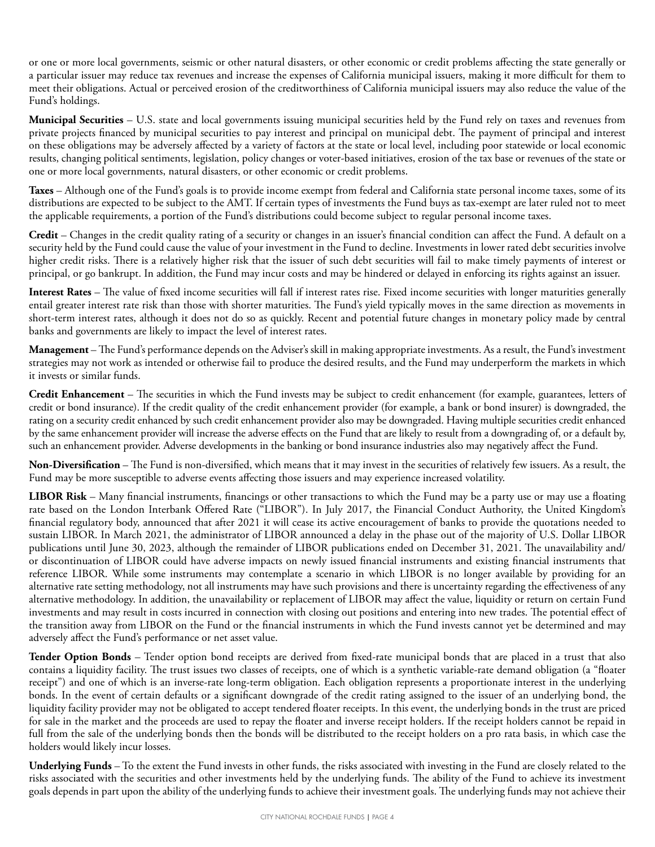or one or more local governments, seismic or other natural disasters, or other economic or credit problems affecting the state generally or a particular issuer may reduce tax revenues and increase the expenses of California municipal issuers, making it more difficult for them to meet their obligations. Actual or perceived erosion of the creditworthiness of California municipal issuers may also reduce the value of the Fund's holdings.

**Municipal Securities** – U.S. state and local governments issuing municipal securities held by the Fund rely on taxes and revenues from private projects financed by municipal securities to pay interest and principal on municipal debt. The payment of principal and interest on these obligations may be adversely affected by a variety of factors at the state or local level, including poor statewide or local economic results, changing political sentiments, legislation, policy changes or voter-based initiatives, erosion of the tax base or revenues of the state or one or more local governments, natural disasters, or other economic or credit problems.

**Taxes** – Although one of the Fund's goals is to provide income exempt from federal and California state personal income taxes, some of its distributions are expected to be subject to the AMT. If certain types of investments the Fund buys as tax-exempt are later ruled not to meet the applicable requirements, a portion of the Fund's distributions could become subject to regular personal income taxes.

**Credit** – Changes in the credit quality rating of a security or changes in an issuer's financial condition can affect the Fund. A default on a security held by the Fund could cause the value of your investment in the Fund to decline. Investments in lower rated debt securities involve higher credit risks. There is a relatively higher risk that the issuer of such debt securities will fail to make timely payments of interest or principal, or go bankrupt. In addition, the Fund may incur costs and may be hindered or delayed in enforcing its rights against an issuer.

**Interest Rates** – The value of fixed income securities will fall if interest rates rise. Fixed income securities with longer maturities generally entail greater interest rate risk than those with shorter maturities. The Fund's yield typically moves in the same direction as movements in short-term interest rates, although it does not do so as quickly. Recent and potential future changes in monetary policy made by central banks and governments are likely to impact the level of interest rates.

**Management** – The Fund's performance depends on the Adviser's skill in making appropriate investments. As a result, the Fund's investment strategies may not work as intended or otherwise fail to produce the desired results, and the Fund may underperform the markets in which it invests or similar funds.

**Credit Enhancement** – The securities in which the Fund invests may be subject to credit enhancement (for example, guarantees, letters of credit or bond insurance). If the credit quality of the credit enhancement provider (for example, a bank or bond insurer) is downgraded, the rating on a security credit enhanced by such credit enhancement provider also may be downgraded. Having multiple securities credit enhanced by the same enhancement provider will increase the adverse effects on the Fund that are likely to result from a downgrading of, or a default by, such an enhancement provider. Adverse developments in the banking or bond insurance industries also may negatively affect the Fund.

**Non-Diversification** – The Fund is non-diversified, which means that it may invest in the securities of relatively few issuers. As a result, the Fund may be more susceptible to adverse events affecting those issuers and may experience increased volatility.

**LIBOR Risk** – Many financial instruments, financings or other transactions to which the Fund may be a party use or may use a floating rate based on the London Interbank Offered Rate ("LIBOR"). In July 2017, the Financial Conduct Authority, the United Kingdom's financial regulatory body, announced that after 2021 it will cease its active encouragement of banks to provide the quotations needed to sustain LIBOR. In March 2021, the administrator of LIBOR announced a delay in the phase out of the majority of U.S. Dollar LIBOR publications until June 30, 2023, although the remainder of LIBOR publications ended on December 31, 2021. The unavailability and/ or discontinuation of LIBOR could have adverse impacts on newly issued financial instruments and existing financial instruments that reference LIBOR. While some instruments may contemplate a scenario in which LIBOR is no longer available by providing for an alternative rate setting methodology, not all instruments may have such provisions and there is uncertainty regarding the effectiveness of any alternative methodology. In addition, the unavailability or replacement of LIBOR may affect the value, liquidity or return on certain Fund investments and may result in costs incurred in connection with closing out positions and entering into new trades. The potential effect of the transition away from LIBOR on the Fund or the financial instruments in which the Fund invests cannot yet be determined and may adversely affect the Fund's performance or net asset value.

**Tender Option Bonds** – Tender option bond receipts are derived from fixed-rate municipal bonds that are placed in a trust that also contains a liquidity facility. The trust issues two classes of receipts, one of which is a synthetic variable-rate demand obligation (a "floater receipt") and one of which is an inverse-rate long-term obligation. Each obligation represents a proportionate interest in the underlying bonds. In the event of certain defaults or a significant downgrade of the credit rating assigned to the issuer of an underlying bond, the liquidity facility provider may not be obligated to accept tendered floater receipts. In this event, the underlying bonds in the trust are priced for sale in the market and the proceeds are used to repay the floater and inverse receipt holders. If the receipt holders cannot be repaid in full from the sale of the underlying bonds then the bonds will be distributed to the receipt holders on a pro rata basis, in which case the holders would likely incur losses.

**Underlying Funds** – To the extent the Fund invests in other funds, the risks associated with investing in the Fund are closely related to the risks associated with the securities and other investments held by the underlying funds. The ability of the Fund to achieve its investment goals depends in part upon the ability of the underlying funds to achieve their investment goals. The underlying funds may not achieve their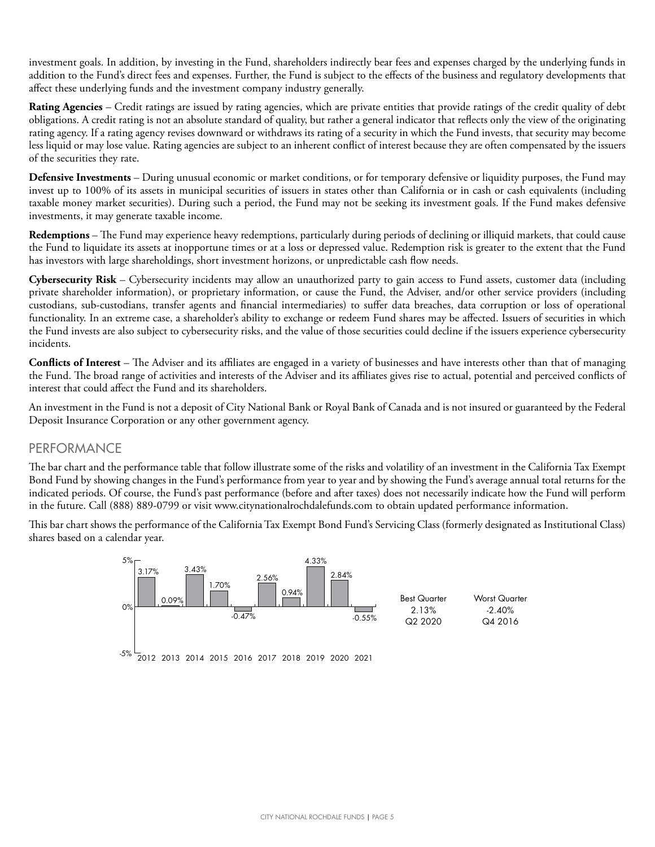investment goals. In addition, by investing in the Fund, shareholders indirectly bear fees and expenses charged by the underlying funds in addition to the Fund's direct fees and expenses. Further, the Fund is subject to the effects of the business and regulatory developments that affect these underlying funds and the investment company industry generally.

**Rating Agencies** – Credit ratings are issued by rating agencies, which are private entities that provide ratings of the credit quality of debt obligations. A credit rating is not an absolute standard of quality, but rather a general indicator that reflects only the view of the originating rating agency. If a rating agency revises downward or withdraws its rating of a security in which the Fund invests, that security may become less liquid or may lose value. Rating agencies are subject to an inherent conflict of interest because they are often compensated by the issuers of the securities they rate.

**Defensive Investments** – During unusual economic or market conditions, or for temporary defensive or liquidity purposes, the Fund may invest up to 100% of its assets in municipal securities of issuers in states other than California or in cash or cash equivalents (including taxable money market securities). During such a period, the Fund may not be seeking its investment goals. If the Fund makes defensive investments, it may generate taxable income.

**Redemptions** – The Fund may experience heavy redemptions, particularly during periods of declining or illiquid markets, that could cause the Fund to liquidate its assets at inopportune times or at a loss or depressed value. Redemption risk is greater to the extent that the Fund has investors with large shareholdings, short investment horizons, or unpredictable cash flow needs.

**Cybersecurity Risk** – Cybersecurity incidents may allow an unauthorized party to gain access to Fund assets, customer data (including private shareholder information), or proprietary information, or cause the Fund, the Adviser, and/or other service providers (including custodians, sub-custodians, transfer agents and financial intermediaries) to suffer data breaches, data corruption or loss of operational functionality. In an extreme case, a shareholder's ability to exchange or redeem Fund shares may be affected. Issuers of securities in which the Fund invests are also subject to cybersecurity risks, and the value of those securities could decline if the issuers experience cybersecurity incidents.

**Conflicts of Interest** – The Adviser and its affiliates are engaged in a variety of businesses and have interests other than that of managing the Fund. The broad range of activities and interests of the Adviser and its affiliates gives rise to actual, potential and perceived conflicts of interest that could affect the Fund and its shareholders.

An investment in the Fund is not a deposit of City National Bank or Royal Bank of Canada and is not insured or guaranteed by the Federal Deposit Insurance Corporation or any other government agency.

#### PERFORMANCE

The bar chart and the performance table that follow illustrate some of the risks and volatility of an investment in the California Tax Exempt Bond Fund by showing changes in the Fund's performance from year to year and by showing the Fund's average annual total returns for the indicated periods. Of course, the Fund's past performance (before and after taxes) does not necessarily indicate how the Fund will perform in the future. Call (888) 889-0799 or visit www.citynationalrochdalefunds.com to obtain updated performance information.

This bar chart shows the performance of the California Tax Exempt Bond Fund's Servicing Class (formerly designated as Institutional Class) shares based on a calendar year.

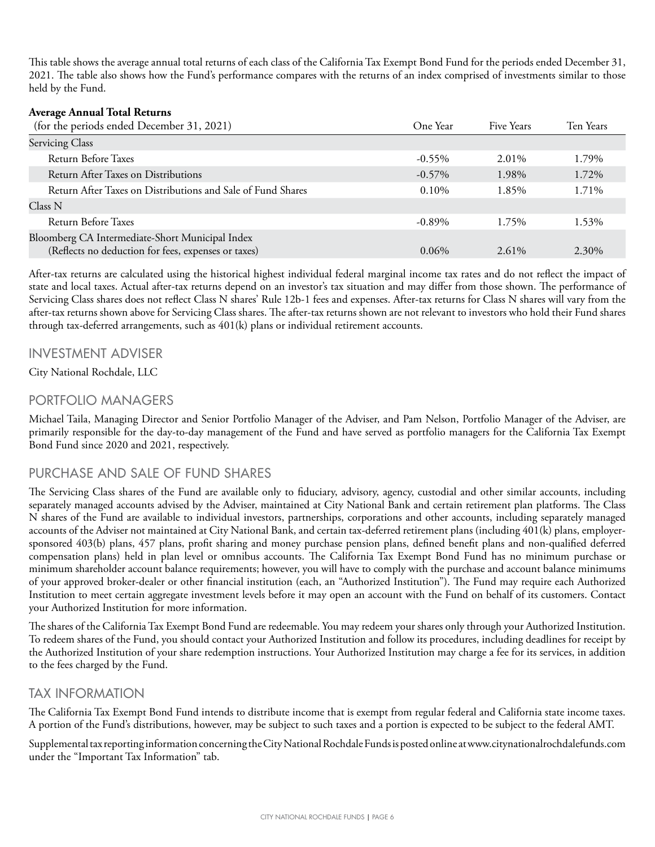This table shows the average annual total returns of each class of the California Tax Exempt Bond Fund for the periods ended December 31, 2021. The table also shows how the Fund's performance compares with the returns of an index comprised of investments similar to those held by the Fund.

#### **Average Annual Total Returns**

| (for the periods ended December 31, 2021)                                                              | One Year  | Five Years | Ten Years |
|--------------------------------------------------------------------------------------------------------|-----------|------------|-----------|
| <b>Servicing Class</b>                                                                                 |           |            |           |
| Return Before Taxes                                                                                    | $-0.55\%$ | 2.01%      | 1.79%     |
| Return After Taxes on Distributions                                                                    | $-0.57\%$ | 1.98%      | 1.72%     |
| Return After Taxes on Distributions and Sale of Fund Shares                                            | $0.10\%$  | 1.85%      | 1.71%     |
| Class N                                                                                                |           |            |           |
| Return Before Taxes                                                                                    | $-0.89\%$ | 1.75%      | 1.53%     |
| Bloomberg CA Intermediate-Short Municipal Index<br>(Reflects no deduction for fees, expenses or taxes) | $0.06\%$  | 2.61%      | 2.30%     |

After-tax returns are calculated using the historical highest individual federal marginal income tax rates and do not reflect the impact of state and local taxes. Actual after-tax returns depend on an investor's tax situation and may differ from those shown. The performance of Servicing Class shares does not reflect Class N shares' Rule 12b-1 fees and expenses. After-tax returns for Class N shares will vary from the after-tax returns shown above for Servicing Class shares. The after-tax returns shown are not relevant to investors who hold their Fund shares through tax-deferred arrangements, such as 401(k) plans or individual retirement accounts.

#### INVESTMENT ADVISER

City National Rochdale, LLC

#### PORTFOLIO MANAGERS

Michael Taila, Managing Director and Senior Portfolio Manager of the Adviser, and Pam Nelson, Portfolio Manager of the Adviser, are primarily responsible for the day-to-day management of the Fund and have served as portfolio managers for the California Tax Exempt Bond Fund since 2020 and 2021, respectively.

#### PURCHASE AND SALE OF FUND SHARES

The Servicing Class shares of the Fund are available only to fiduciary, advisory, agency, custodial and other similar accounts, including separately managed accounts advised by the Adviser, maintained at City National Bank and certain retirement plan platforms. The Class N shares of the Fund are available to individual investors, partnerships, corporations and other accounts, including separately managed accounts of the Adviser not maintained at City National Bank, and certain tax-deferred retirement plans (including 401(k) plans, employersponsored 403(b) plans, 457 plans, profit sharing and money purchase pension plans, defined benefit plans and non-qualified deferred compensation plans) held in plan level or omnibus accounts. The California Tax Exempt Bond Fund has no minimum purchase or minimum shareholder account balance requirements; however, you will have to comply with the purchase and account balance minimums of your approved broker-dealer or other financial institution (each, an "Authorized Institution"). The Fund may require each Authorized Institution to meet certain aggregate investment levels before it may open an account with the Fund on behalf of its customers. Contact your Authorized Institution for more information.

The shares of the California Tax Exempt Bond Fund are redeemable. You may redeem your shares only through your Authorized Institution. To redeem shares of the Fund, you should contact your Authorized Institution and follow its procedures, including deadlines for receipt by the Authorized Institution of your share redemption instructions. Your Authorized Institution may charge a fee for its services, in addition to the fees charged by the Fund.

#### TAX INFORMATION

The California Tax Exempt Bond Fund intends to distribute income that is exempt from regular federal and California state income taxes. A portion of the Fund's distributions, however, may be subject to such taxes and a portion is expected to be subject to the federal AMT.

Supplemental tax reporting information concerning the City National Rochdale Funds is posted online at www.citynationalrochdalefunds.com under the "Important Tax Information" tab.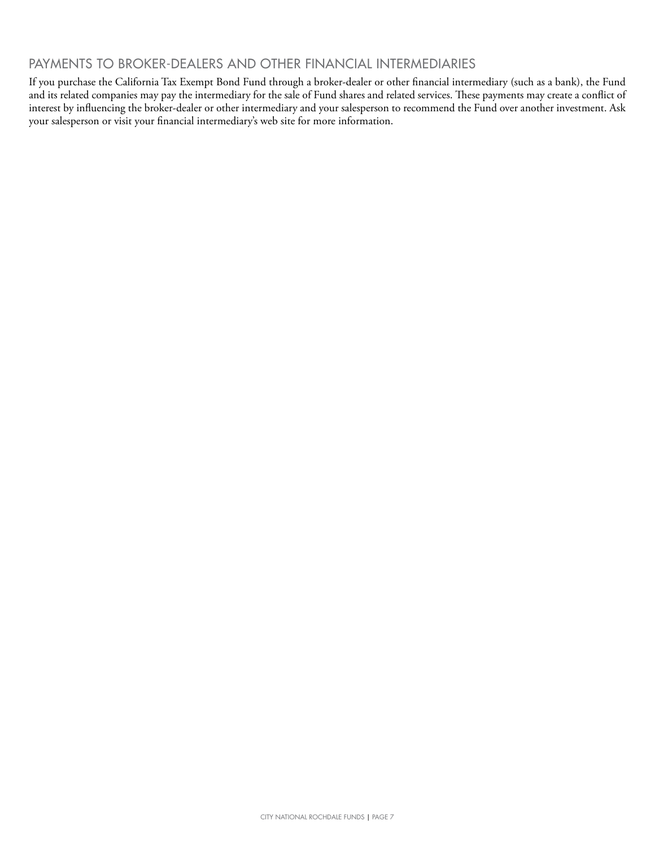## PAYMENTS TO BROKER-DEALERS AND OTHER FINANCIAL INTERMEDIARIES

If you purchase the California Tax Exempt Bond Fund through a broker-dealer or other financial intermediary (such as a bank), the Fund and its related companies may pay the intermediary for the sale of Fund shares and related services. These payments may create a conflict of interest by influencing the broker-dealer or other intermediary and your salesperson to recommend the Fund over another investment. Ask your salesperson or visit your financial intermediary's web site for more information.